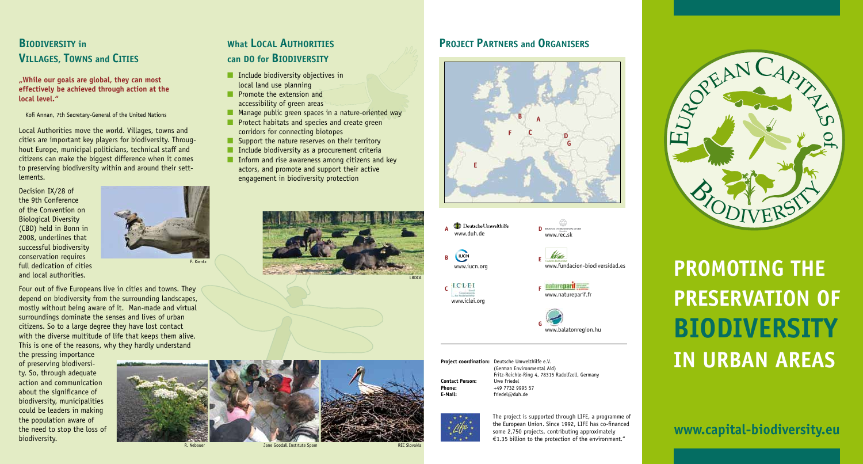#### **BIODIVERSITY in VILLAGES, TOWNS and CITIES**

#### **"While our goals are global, they can most effectively be achieved through action at the local level."**

Kofi Annan, 7th Secretary-General of the United Nations

Local Authorities move the world. Villages, towns and cities are important key players for biodiversity. Throughout Europe, municipal politicians, technical staff and citizens can make the biggest difference when it comes to preserving biodiversity within and around their settlements.

Decision IX/28 of the 9th Conference of the Convention on Biological Diversity (CBD) held in Bonn in 2008, underlines that successful biodiversity conservation requires full dedication of cities and local authorities.



Four out of five Europeans live in cities and towns. They depend on biodiversity from the surrounding landscapes, mostly without being aware of it. Man-made and virtual surroundings dominate the senses and lives of urban citizens. So to a large degree they have lost contact with the diverse multitude of life that keeps them alive. This is one of the reasons, why they hardly understand

the pressing importance of preserving biodiversity. So, through adequate action and communication about the significance of biodiversity, municipalities could be leaders in making the population aware of the need to stop the loss of biodiversity.

#### **What LOCAL AUTHORITIES can DO for BIODIVERSITY**

- $\blacksquare$  Include biodiversity objectives in local land use planning
- **n** Promote the extension and
- accessibility of green areas
- $\blacksquare$  Manage public green spaces in a nature-oriented way  $\blacksquare$  Protect habitats and species and create green
- corridors for connecting biotopes  $\blacksquare$  Support the nature reserves on their territory
- $\blacksquare$  Include biodiversity as a procurement criteria
- $\blacksquare$  Inform and rise awareness among citizens and key actors, and promote and support their active engagement in biodiversity protection





R. Nebauer Jane Goodall Institute Spain Jane Goodall Institute Spain Jane Jane Jane Jane REC Slovakia



#### **PROJECT PARTNERS and ORGANISERS**









www.iclei.or

**C**





www.fundacion-biodiversidad.es

www.rec.sk

**Project coordination:** Deutsche Umwelthilfe e.V. (German Environmental Aid) Fritz-Reichle-Ring 4, 78315 Radolfzell, Germany<br>Uwe Friedel **Contact Person: Phone:** +49 7732 9995 57<br> **F-Mail:** friedel@dub.de

**E-Mail:** friedel@duh.de



The project is supported through LIFE, a programme of the European Union. Since 1992, LIFE has co-financed some 2,750 projects, contributing approximately €1.35 billion to the protection of the environment."



# **Promoting the Preservation of Biodiversity in Urban Areas**

### **www.capital-biodiversity.eu**